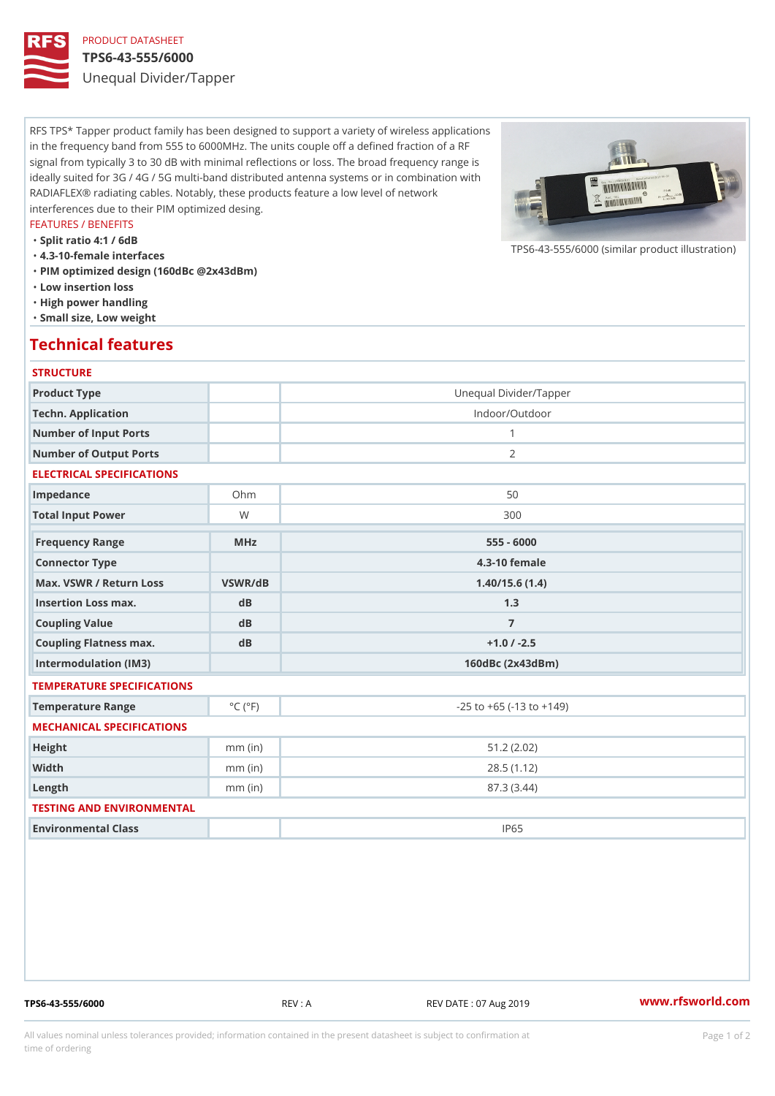# PRODUCT DATASHEET

#### TPS6-43-555/6000

Unequal Divider/Tapper

RFS TPS\* Tapper product family has been designed to support a variety of wireless applications in the frequency band from 555 to 6000MHz. The units couple off a defined fraction of a RF signal from typically 3 to 30 dB with minimal reflections or loss. The broad frequency range is ideally suited for 3G / 4G / 5G multi-band distributed antenna systems or in combination with RADIAFLEX® radiating cables. Notably, these products feature a low level of network interferences due to their PIM optimized desing.

#### FEATURES / BENEFITS

"Split ratio 4:1 / 6dB

- "4.3-10-female interfaces
- "PIM optimized design (160dBc @2x43dBm)
- "Low insertion loss
- "High power handling
- "Small size, Low weight

## Technical features

### **STRUCTURE**

| Product Type                                     |                             | Unequal Divider/Tapper             |
|--------------------------------------------------|-----------------------------|------------------------------------|
| Techn. Application                               |                             | Indoor/Outdoor                     |
| Number of Input Ports                            |                             | $\mathbf{1}$                       |
| Number of Output Ports                           |                             | 2                                  |
| ELECTRICAL SPECIFICATIONS                        |                             |                                    |
| Impedance                                        | $Oh$ m                      | 50                                 |
| Total Input Power                                | W                           | 300                                |
| Frequency Range                                  | $M$ H z                     | $555 - 6000$                       |
| Connector Type                                   |                             | 4.3-10 female                      |
| Max. VSWR / Return LossVSWR/dB<br>1.40/15.6(1.4) |                             |                                    |
| Insertion Loss max.                              | dB                          | 1.3                                |
| Coupling Value                                   | d B                         | $\overline{7}$                     |
| Coupling Flatness max.                           | d B                         | $+1.0$ / $-2.5$                    |
| Intermodulation (IM3)                            |                             | 160dBc (2x43dBm)                   |
| TEMPERATURE SPECIFICATIONS                       |                             |                                    |
| Temperature Range                                | $^{\circ}$ C ( $^{\circ}$ F | $-25$ to $+65$ ( $-13$ to $+149$ ) |
| MECHANICAL SPECIFICATIONS                        |                             |                                    |
| Height                                           | $mm$ (in)                   | 51.2(2.02)                         |
| Width                                            | $mm$ (in)                   | 28.5(1.12)                         |
| $L$ ength                                        | $mm$ (in)                   | 87.3 (3.44)                        |
| TESTING AND ENVIRONMENTAL                        |                             |                                    |
| Environmental Class                              |                             | <b>IP65</b>                        |
|                                                  |                             |                                    |

TPS6-43-555/6000 REV : A REV DATE : 07 Aug 2019 [www.](https://www.rfsworld.com)rfsworld.com

 $TPS6-43-555/6000$  (similar product

All values nominal unless tolerances provided; information contained in the present datasheet is subject to Pcapgeign manation time of ordering